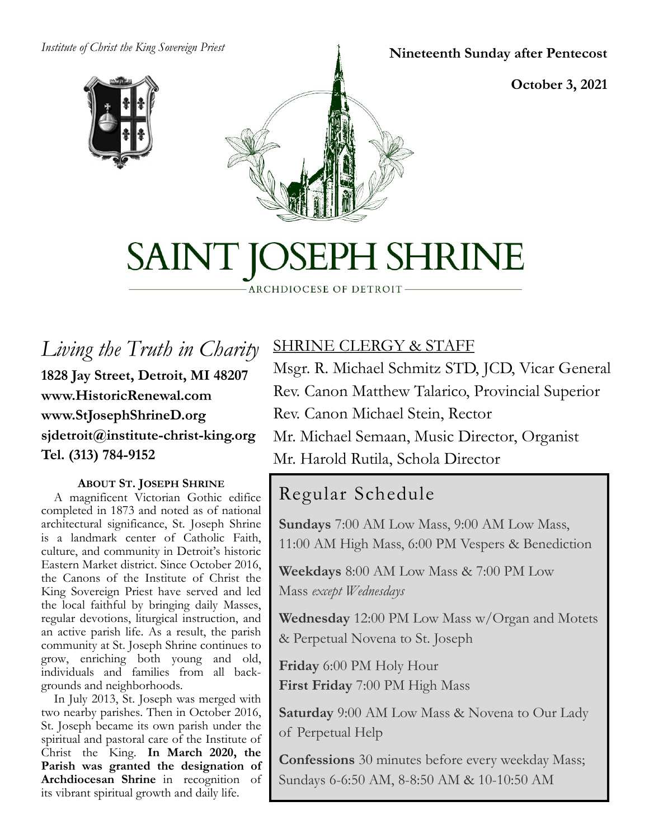#### *Institute of Christ the King Sovereign Priest*





**Nineteenth Sunday after Pentecost**

**October 3, 2021**

# SAINT JOSEPH SHRINE

ARCHDIOCESE OF DETROIT

*Living the Truth in Charity* **1828 Jay Street, Detroit, MI 48207 www.HistoricRenewal.com www.StJosephShrineD.org sjdetroit@institute-christ-king.org Tel. (313) 784-9152**

#### **ABOUT ST. JOSEPH SHRINE**

 A magnificent Victorian Gothic edifice completed in 1873 and noted as of national architectural significance, St. Joseph Shrine is a landmark center of Catholic Faith, culture, and community in Detroit's historic Eastern Market district. Since October 2016, the Canons of the Institute of Christ the King Sovereign Priest have served and led the local faithful by bringing daily Masses, regular devotions, liturgical instruction, and an active parish life. As a result, the parish community at St. Joseph Shrine continues to grow, enriching both young and old, individuals and families from all backgrounds and neighborhoods.

 In July 2013, St. Joseph was merged with two nearby parishes. Then in October 2016, St. Joseph became its own parish under the spiritual and pastoral care of the Institute of Christ the King. **In March 2020, the Parish was granted the designation of Archdiocesan Shrine** in recognition of its vibrant spiritual growth and daily life.

### SHRINE CLERGY & STAFF

Msgr. R. Michael Schmitz STD, JCD, Vicar General Rev. Canon Matthew Talarico, Provincial Superior Rev. Canon Michael Stein, Rector Mr. Michael Semaan, Music Director, Organist

## Mr. Harold Rutila, Schola Director

## Regular Schedule

**Sundays** 7:00 AM Low Mass, 9:00 AM Low Mass, 11:00 AM High Mass, 6:00 PM Vespers & Benediction

**Weekdays** 8:00 AM Low Mass & 7:00 PM Low Mass *except Wednesdays*

**Wednesday** 12:00 PM Low Mass w/Organ and Motets & Perpetual Novena to St. Joseph

**Friday** 6:00 PM Holy Hour **First Friday** 7:00 PM High Mass

**Saturday** 9:00 AM Low Mass & Novena to Our Lady of Perpetual Help

**Confessions** 30 minutes before every weekday Mass; Sundays 6-6:50 AM, 8-8:50 AM & 10-10:50 AM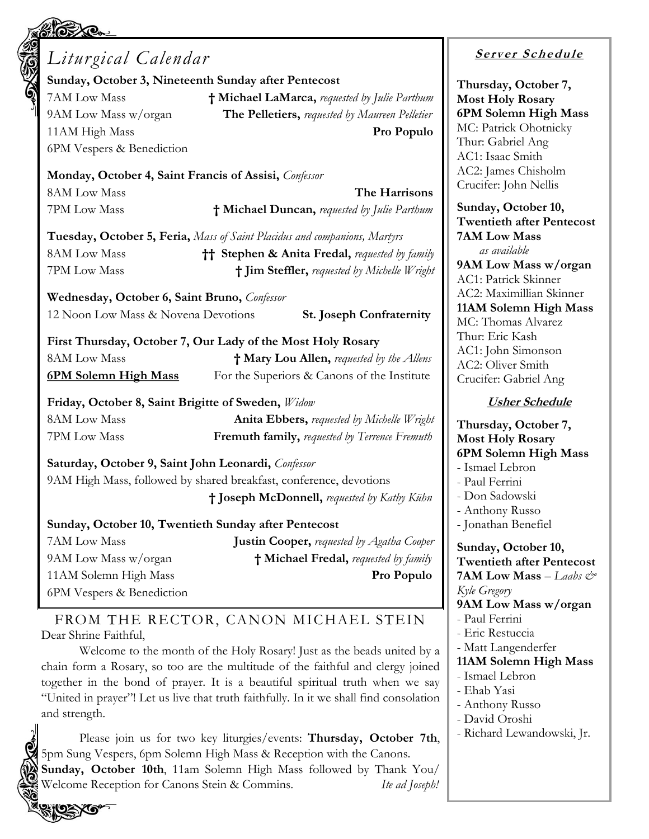| Liturgical Calendar                                                                                                                                                                                               |                                                                                                         |
|-------------------------------------------------------------------------------------------------------------------------------------------------------------------------------------------------------------------|---------------------------------------------------------------------------------------------------------|
|                                                                                                                                                                                                                   | Sunday, October 3, Nineteenth Sunday after Pentecost                                                    |
| 7AM Low Mass                                                                                                                                                                                                      | † Michael LaMarca, requested by Julie Parthum                                                           |
| 9AM Low Mass w/organ                                                                                                                                                                                              | The Pelletiers, requested by Maureen Pelletier                                                          |
| 11AM High Mass                                                                                                                                                                                                    | Pro Populo                                                                                              |
| 6PM Vespers & Benediction                                                                                                                                                                                         |                                                                                                         |
| Monday, October 4, Saint Francis of Assisi, Confessor                                                                                                                                                             |                                                                                                         |
| 8AM Low Mass                                                                                                                                                                                                      | The Harrisons                                                                                           |
| 7PM Low Mass                                                                                                                                                                                                      | † Michael Duncan, requested by Julie Parthum                                                            |
|                                                                                                                                                                                                                   | Tuesday, October 5, Feria, Mass of Saint Placidus and companions, Martyrs                               |
| <b>8AM Low Mass</b>                                                                                                                                                                                               | <b>†† Stephen &amp; Anita Fredal, requested by family</b>                                               |
| 7PM Low Mass                                                                                                                                                                                                      | † Jim Steffler, requested by Michelle Wright                                                            |
| Wednesday, October 6, Saint Bruno, Confessor                                                                                                                                                                      |                                                                                                         |
| 12 Noon Low Mass & Novena Devotions                                                                                                                                                                               | <b>St. Joseph Confraternity</b>                                                                         |
|                                                                                                                                                                                                                   | First Thursday, October 7, Our Lady of the Most Holy Rosary                                             |
| 8AM Low Mass                                                                                                                                                                                                      | <sup>†</sup> Mary Lou Allen, requested by the Allens                                                    |
|                                                                                                                                                                                                                   |                                                                                                         |
|                                                                                                                                                                                                                   | For the Superiors & Canons of the Institute                                                             |
| <u>6PM Solemn High Mass</u>                                                                                                                                                                                       |                                                                                                         |
|                                                                                                                                                                                                                   |                                                                                                         |
|                                                                                                                                                                                                                   | <b>Anita Ebbers, requested by Michelle Wright</b><br>Fremuth family, requested by Terrence Fremuth      |
|                                                                                                                                                                                                                   |                                                                                                         |
|                                                                                                                                                                                                                   | 9AM High Mass, followed by shared breakfast, conference, devotions                                      |
|                                                                                                                                                                                                                   | † Joseph McDonnell, requested by Kathy Kühn                                                             |
|                                                                                                                                                                                                                   |                                                                                                         |
|                                                                                                                                                                                                                   | Sunday, October 10, Twentieth Sunday after Pentecost                                                    |
|                                                                                                                                                                                                                   |                                                                                                         |
| Friday, October 8, Saint Brigitte of Sweden, Widow<br><b>8AM Low Mass</b><br>7PM Low Mass<br>Saturday, October 9, Saint John Leonardi, Confessor<br>7AM Low Mass<br>9AM Low Mass w/organ<br>11AM Solemn High Mass | <b>Justin Cooper, requested by Agatha Cooper</b><br>† Michael Fredal, requested by family<br>Pro Populo |

Dear Shrine Faithful,

Welcome to the month of the Holy Rosary! Just as the beads united by a chain form a Rosary, so too are the multitude of the faithful and clergy joined together in the bond of prayer. It is a beautiful spiritual truth when we say "United in prayer"! Let us live that truth faithfully. In it we shall find consolation and strength.

Please join us for two key liturgies/events: **Thursday, October 7th**, 5pm Sung Vespers, 6pm Solemn High Mass & Reception with the Canons. **Sunday, October 10th**, 11am Solemn High Mass followed by Thank You/ Welcome Reception for Canons Stein & Commins. *Ite ad Joseph!*

#### **<sup>S</sup> <sup>e</sup> rv er <sup>S</sup> <sup>c</sup> he du le**

**Thursday, October 7, Most Holy Rosary 6PM Solemn High Mass** Patrick Ohotnicky ır: Gabriel Ang : Isaac Smith 2: James Chisholm cifer: John Nellis

day, October 10, **Twentieth after Pentecost 7AM Low Mass**  *as available* **9AM Low Mass w/organ** : Patrick Skinner 2: Maximillian Skinner **11AM Solemn High Mass** Thomas Alvarez ır: Eric Kash : John Simonson 2: Oliver Smith cifer: Gabriel Ang

#### **Usher Schedule**

#### **Thursday, October 7, Most Holy Rosary 6PM Solemn High Mass**

nael Lebron

- ul Ferrini
- on Sadowski
- nthony Russo
- nathan Benefiel

**Sunday, October 10, Twentieth after Pentecost 7AM Low Mass** – *Laabs & Kyle Gregory*

**9AM Low Mass w/organ**

- ul Ferrini
- Eric Restuccia
- Matt Langenderfer
- **11AM Solemn High Mass**
- Ismael Lebron
- Ehab Yasi
- Anthony Russo
- David Oroshi
- Richard Lewandowski, Jr.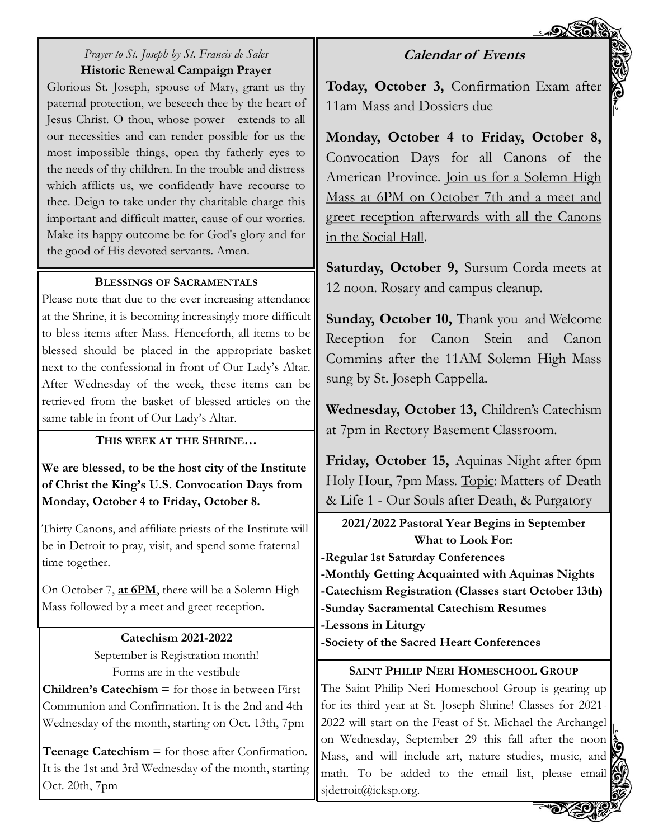#### **Calendar of Events**

#### *Prayer to St. Joseph by St. Francis de Sales* **Historic Renewal Campaign Prayer**

Glorious St. Joseph, spouse of Mary, grant us thy paternal protection, we beseech thee by the heart of Jesus Christ. O thou, whose power extends to all our necessities and can render possible for us the most impossible things, open thy fatherly eyes to the needs of thy children. In the trouble and distress which afflicts us, we confidently have recourse to thee. Deign to take under thy charitable charge this important and difficult matter, cause of our worries. Make its happy outcome be for God's glory and for the good of His devoted servants. Amen.

#### **BLESSINGS OF SACRAMENTALS**

Please note that due to the ever increasing attendance at the Shrine, it is becoming increasingly more difficult to bless items after Mass. Henceforth, all items to be blessed should be placed in the appropriate basket next to the confessional in front of Our Lady's Altar. After Wednesday of the week, these items can be retrieved from the basket of blessed articles on the same table in front of Our Lady's Altar.

#### **THIS WEEK AT THE SHRINE…**

**We are blessed, to be the host city of the Institute of Christ the King's U.S. Convocation Days from Monday, October 4 to Friday, October 8.** 

Thirty Canons, and affiliate priests of the Institute will be in Detroit to pray, visit, and spend some fraternal time together.

On October 7, **at 6PM**, there will be a Solemn High Mass followed by a meet and greet reception.

## **Catechism 2021-2022** September is Registration month! Forms are in the vestibule **Children's Catechism** = for those in between First Communion and Confirmation. It is the 2nd and 4th Wednesday of the month, starting on Oct. 13th, 7pm

**Teenage Catechism** = for those after Confirmation. It is the 1st and 3rd Wednesday of the month, starting Oct. 20th, 7pm

**Today, October 3,** Confirmation Exam after 11am Mass and Dossiers due

**Monday, October 4 to Friday, October 8,**  Convocation Days for all Canons of the American Province. Join us for a Solemn High Mass at 6PM on October 7th and a meet and greet reception afterwards with all the Canons in the Social Hall.

**Saturday, October 9,** Sursum Corda meets at 12 noon. Rosary and campus cleanup.

**Sunday, October 10, Thank you and Welcome** Reception for Canon Stein and Canon Commins after the 11AM Solemn High Mass sung by St. Joseph Cappella.

**Wednesday, October 13,** Children's Catechism at 7pm in Rectory Basement Classroom.

Friday, October 15, Aquinas Night after 6pm Holy Hour, 7pm Mass. <u>Topic</u>: Matters of Death & Life 1 - Our Souls after Death, & Purgatory

**2021/2022 Pastoral Year Begins in September What to Look For: -Regular 1st Saturday Conferences -Monthly Getting Acquainted with Aquinas Nights -Catechism Registration (Classes start October 13th) -Sunday Sacramental Catechism Resumes -Lessons in Liturgy -Society of the Sacred Heart Conferences**

**SAINT PHILIP NERI HOMESCHOOL GROUP** The Saint Philip Neri Homeschool Group is gearing up for its third year at St. Joseph Shrine! Classes for 2021- 2022 will start on the Feast of St. Michael the Archangel on Wednesday, September 29 this fall after the noon Mass, and will include art, nature studies, music, and math. To be added to the email list, please email sjdetroit@icksp.org.